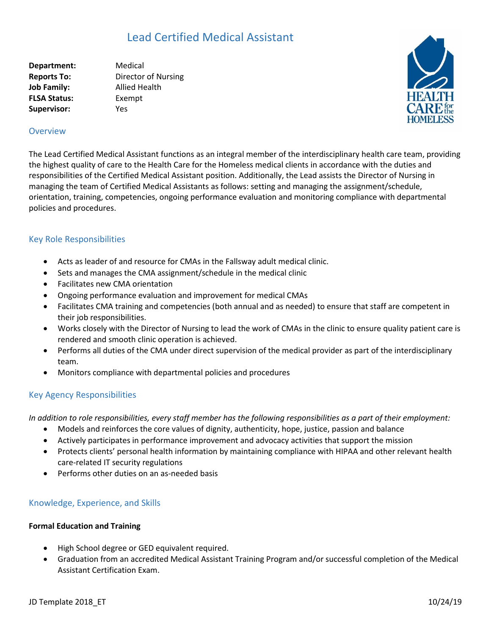# Lead Certified Medical Assistant

**Department:** Medical **Reports To:** Director of Nursing **Job Family:** Allied Health **FLSA Status:** Exempt **Supervisor:** Yes



## **Overview**

The Lead Certified Medical Assistant functions as an integral member of the interdisciplinary health care team, providing the highest quality of care to the Health Care for the Homeless medical clients in accordance with the duties and responsibilities of the Certified Medical Assistant position. Additionally, the Lead assists the Director of Nursing in managing the team of Certified Medical Assistants as follows: setting and managing the assignment/schedule, orientation, training, competencies, ongoing performance evaluation and monitoring compliance with departmental policies and procedures.

## Key Role Responsibilities

- Acts as leader of and resource for CMAs in the Fallsway adult medical clinic.
- Sets and manages the CMA assignment/schedule in the medical clinic
- Facilitates new CMA orientation
- Ongoing performance evaluation and improvement for medical CMAs
- Facilitates CMA training and competencies (both annual and as needed) to ensure that staff are competent in their job responsibilities.
- Works closely with the Director of Nursing to lead the work of CMAs in the clinic to ensure quality patient care is rendered and smooth clinic operation is achieved.
- Performs all duties of the CMA under direct supervision of the medical provider as part of the interdisciplinary team.
- Monitors compliance with departmental policies and procedures

# Key Agency Responsibilities

*In addition to role responsibilities, every staff member has the following responsibilities as a part of their employment:*

- Models and reinforces the core values of dignity, authenticity, hope, justice, passion and balance
- Actively participates in performance improvement and advocacy activities that support the mission
- Protects clients' personal health information by maintaining compliance with HIPAA and other relevant health care-related IT security regulations
- Performs other duties on an as-needed basis

## Knowledge, Experience, and Skills

#### **Formal Education and Training**

- High School degree or GED equivalent required.
- Graduation from an accredited Medical Assistant Training Program and/or successful completion of the Medical Assistant Certification Exam.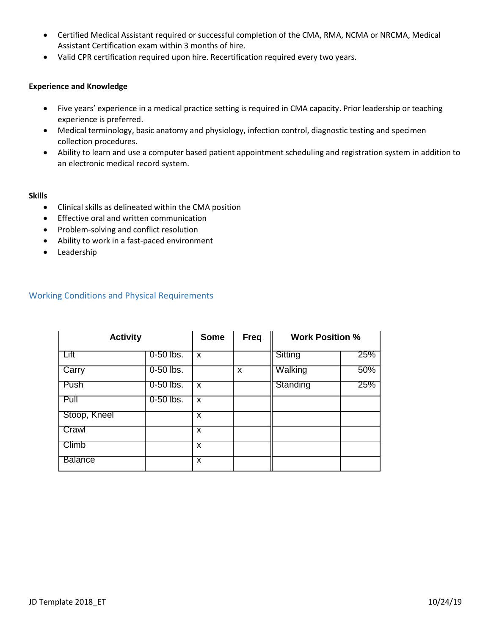- Certified Medical Assistant required or successful completion of the CMA, RMA, NCMA or NRCMA, Medical Assistant Certification exam within 3 months of hire.
- Valid CPR certification required upon hire. Recertification required every two years.

### **Experience and Knowledge**

- Five years' experience in a medical practice setting is required in CMA capacity. Prior leadership or teaching experience is preferred.
- Medical terminology, basic anatomy and physiology, infection control, diagnostic testing and specimen collection procedures.
- Ability to learn and use a computer based patient appointment scheduling and registration system in addition to an electronic medical record system.

### **Skills**

- Clinical skills as delineated within the CMA position
- **•** Effective oral and written communication
- Problem-solving and conflict resolution
- Ability to work in a fast-paced environment
- Leadership

# Working Conditions and Physical Requirements

| <b>Activity</b> |             | <b>Some</b> | <b>Freq</b> | <b>Work Position %</b> |     |
|-----------------|-------------|-------------|-------------|------------------------|-----|
| Lift            | $0-50$ lbs. | X           |             | Sitting                | 25% |
| Carry           | $0-50$ lbs. |             | X           | Walking                | 50% |
| Push            | 0-50 lbs.   | X           |             | Standing               | 25% |
| Pull            | $0-50$ lbs. | X           |             |                        |     |
| Stoop, Kneel    |             | X           |             |                        |     |
| Crawl           |             | X           |             |                        |     |
| Climb           |             | X           |             |                        |     |
| <b>Balance</b>  |             | X           |             |                        |     |